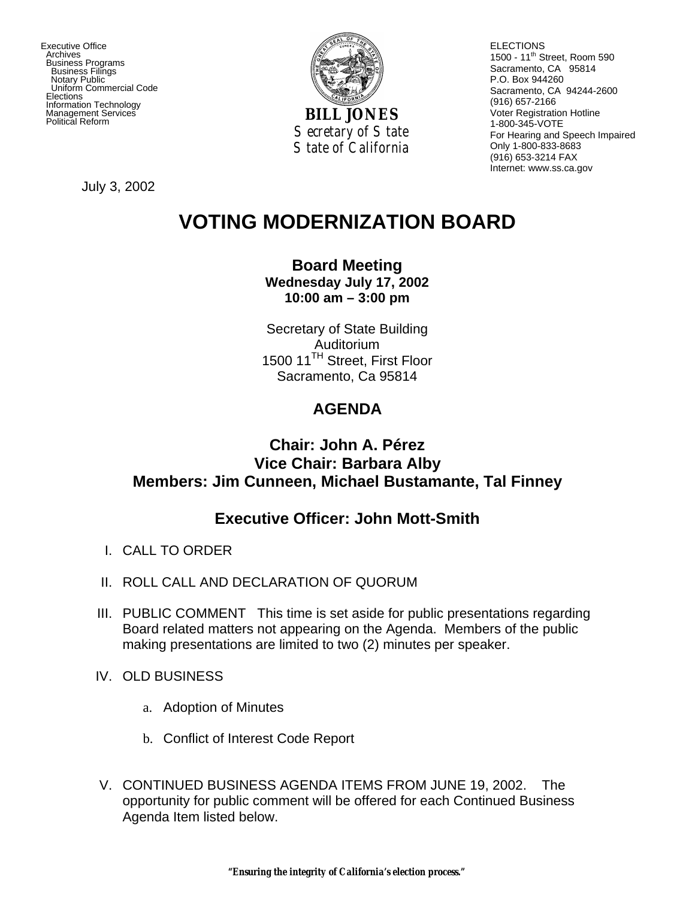Executive Office Archives Business Programs Business Filings Notary Public Uniform Commercial Code **Elections**  Information Technology Management Services



ELECTIONS 1500 - 11<sup>th</sup> Street, Room 590 Sacramento, CA 95814 P.O. Box 944260 Sacramento, CA 94244-2600 (916) 657-2166 Voter Registration Hotline 1-800-345-VOTE For Hearing and Speech Impaired Only 1-800-833-8683 (916) 653-3214 FAX Internet: www.ss.ca.gov

July 3, 2002

# **VOTING MODERNIZATION BOARD**

#### **Board Meeting Wednesday July 17, 2002 10:00 am – 3:00 pm**

Secretary of State Building Auditorium 1500 11<sup>TH</sup> Street, First Floor Sacramento, Ca 95814

## **AGENDA**

### **Chair: John A. Pérez Vice Chair: Barbara Alby Members: Jim Cunneen, Michael Bustamante, Tal Finney**

#### **Executive Officer: John Mott-Smith**

- I. CALL TO ORDER
- II. ROLL CALL AND DECLARATION OF QUORUM
- III. PUBLIC COMMENT This time is set aside for public presentations regarding Board related matters not appearing on the Agenda. Members of the public making presentations are limited to two (2) minutes per speaker.
- IV. OLD BUSINESS
	- a. Adoption of Minutes
	- b. Conflict of Interest Code Report
- V. CONTINUED BUSINESS AGENDA ITEMS FROM JUNE 19, 2002. The opportunity for public comment will be offered for each Continued Business Agenda Item listed below.

*"Ensuring the integrity of California's election process."*